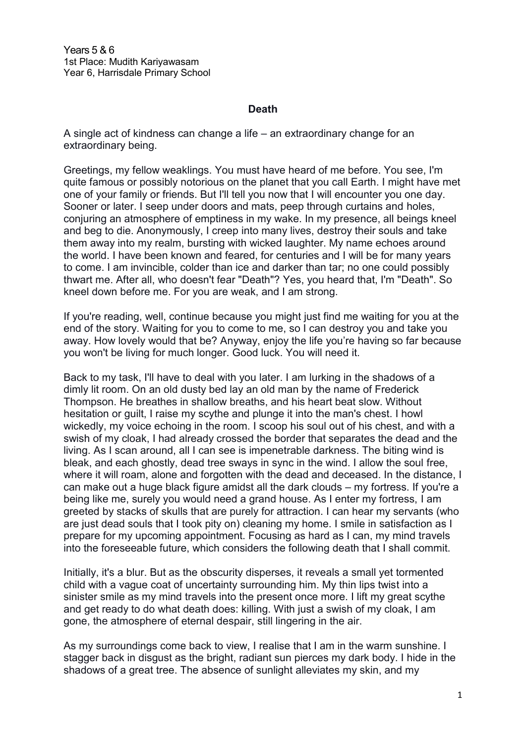Years 5 & 6 1st Place: Mudith Kariyawasam Year 6, Harrisdale Primary School

## **Death**

A single act of kindness can change a life – an extraordinary change for an extraordinary being.

Greetings, my fellow weaklings. You must have heard of me before. You see, I'm quite famous or possibly notorious on the planet that you call Earth. I might have met one of your family or friends. But I'll tell you now that I will encounter you one day. Sooner or later. I seep under doors and mats, peep through curtains and holes, conjuring an atmosphere of emptiness in my wake. In my presence, all beings kneel and beg to die. Anonymously, I creep into many lives, destroy their souls and take them away into my realm, bursting with wicked laughter. My name echoes around the world. I have been known and feared, for centuries and I will be for many years to come. I am invincible, colder than ice and darker than tar; no one could possibly thwart me. After all, who doesn't fear "Death"? Yes, you heard that, I'm "Death". So kneel down before me. For you are weak, and I am strong.

If you're reading, well, continue because you might just find me waiting for you at the end of the story. Waiting for you to come to me, so I can destroy you and take you away. How lovely would that be? Anyway, enjoy the life you're having so far because you won't be living for much longer. Good luck. You will need it.

Back to my task, I'll have to deal with you later. I am lurking in the shadows of a dimly lit room. On an old dusty bed lay an old man by the name of Frederick Thompson. He breathes in shallow breaths, and his heart beat slow. Without hesitation or guilt, I raise my scythe and plunge it into the man's chest. I howl wickedly, my voice echoing in the room. I scoop his soul out of his chest, and with a swish of my cloak, I had already crossed the border that separates the dead and the living. As I scan around, all I can see is impenetrable darkness. The biting wind is bleak, and each ghostly, dead tree sways in sync in the wind. I allow the soul free, where it will roam, alone and forgotten with the dead and deceased. In the distance, I can make out a huge black figure amidst all the dark clouds – my fortress. If you're a being like me, surely you would need a grand house. As I enter my fortress, I am greeted by stacks of skulls that are purely for attraction. I can hear my servants (who are just dead souls that I took pity on) cleaning my home. I smile in satisfaction as I prepare for my upcoming appointment. Focusing as hard as I can, my mind travels into the foreseeable future, which considers the following death that I shall commit.

Initially, it's a blur. But as the obscurity disperses, it reveals a small yet tormented child with a vague coat of uncertainty surrounding him. My thin lips twist into a sinister smile as my mind travels into the present once more. I lift my great scythe and get ready to do what death does: killing. With just a swish of my cloak, I am gone, the atmosphere of eternal despair, still lingering in the air.

As my surroundings come back to view, I realise that I am in the warm sunshine. I stagger back in disgust as the bright, radiant sun pierces my dark body. I hide in the shadows of a great tree. The absence of sunlight alleviates my skin, and my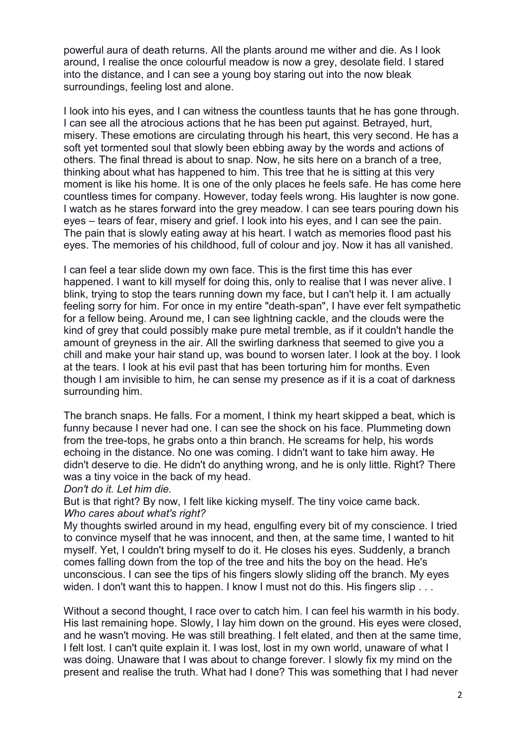powerful aura of death returns. All the plants around me wither and die. As I look around, I realise the once colourful meadow is now a grey, desolate field. I stared into the distance, and I can see a young boy staring out into the now bleak surroundings, feeling lost and alone.

I look into his eyes, and I can witness the countless taunts that he has gone through. I can see all the atrocious actions that he has been put against. Betrayed, hurt, misery. These emotions are circulating through his heart, this very second. He has a soft yet tormented soul that slowly been ebbing away by the words and actions of others. The final thread is about to snap. Now, he sits here on a branch of a tree, thinking about what has happened to him. This tree that he is sitting at this very moment is like his home. It is one of the only places he feels safe. He has come here countless times for company. However, today feels wrong. His laughter is now gone. I watch as he stares forward into the grey meadow. I can see tears pouring down his eyes – tears of fear, misery and grief. I look into his eyes, and I can see the pain. The pain that is slowly eating away at his heart. I watch as memories flood past his eyes. The memories of his childhood, full of colour and joy. Now it has all vanished.

I can feel a tear slide down my own face. This is the first time this has ever happened. I want to kill myself for doing this, only to realise that I was never alive. I blink, trying to stop the tears running down my face, but I can't help it. I am actually feeling sorry for him. For once in my entire "death-span", I have ever felt sympathetic for a fellow being. Around me, I can see lightning cackle, and the clouds were the kind of grey that could possibly make pure metal tremble, as if it couldn't handle the amount of greyness in the air. All the swirling darkness that seemed to give you a chill and make your hair stand up, was bound to worsen later. I look at the boy. I look at the tears. I look at his evil past that has been torturing him for months. Even though I am invisible to him, he can sense my presence as if it is a coat of darkness surrounding him.

The branch snaps. He falls. For a moment, I think my heart skipped a beat, which is funny because I never had one. I can see the shock on his face. Plummeting down from the tree-tops, he grabs onto a thin branch. He screams for help, his words echoing in the distance. No one was coming. I didn't want to take him away. He didn't deserve to die. He didn't do anything wrong, and he is only little. Right? There was a tiny voice in the back of my head.

## *Don't do it. Let him die.*

But is that right? By now, I felt like kicking myself. The tiny voice came back. *Who cares about what's right?*

My thoughts swirled around in my head, engulfing every bit of my conscience. I tried to convince myself that he was innocent, and then, at the same time, I wanted to hit myself. Yet, I couldn't bring myself to do it. He closes his eyes. Suddenly, a branch comes falling down from the top of the tree and hits the boy on the head. He's unconscious. I can see the tips of his fingers slowly sliding off the branch. My eyes widen. I don't want this to happen. I know I must not do this. His fingers slip . . .

Without a second thought, I race over to catch him. I can feel his warmth in his body. His last remaining hope. Slowly, I lay him down on the ground. His eyes were closed, and he wasn't moving. He was still breathing. I felt elated, and then at the same time, I felt lost. I can't quite explain it. I was lost, lost in my own world, unaware of what I was doing. Unaware that I was about to change forever. I slowly fix my mind on the present and realise the truth. What had I done? This was something that I had never